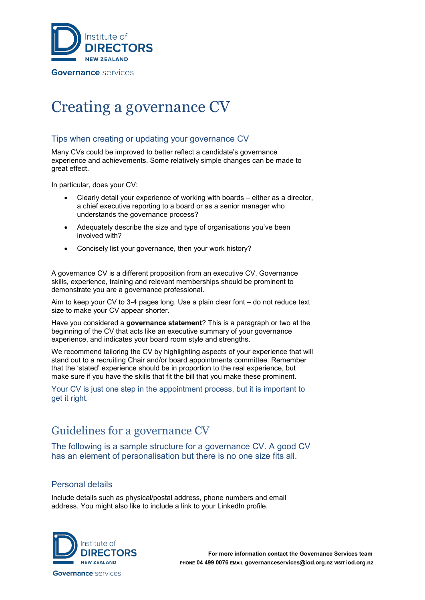

# Creating a governance CV

### Tips when creating or updating your governance CV

Many CVs could be improved to better reflect a candidate's governance experience and achievements. Some relatively simple changes can be made to great effect.

In particular, does your CV:

- Clearly detail your experience of working with boards either as a director, a chief executive reporting to a board or as a senior manager who understands the governance process?
- Adequately describe the size and type of organisations you've been involved with?
- Concisely list your governance, then your work history?

A governance CV is a different proposition from an executive CV. Governance skills, experience, training and relevant memberships should be prominent to demonstrate you are a governance professional.

Aim to keep your CV to 3-4 pages long. Use a plain clear font – do not reduce text size to make your CV appear shorter.

Have you considered a **governance statement**? This is a paragraph or two at the beginning of the CV that acts like an executive summary of your governance experience, and indicates your board room style and strengths.

We recommend tailoring the CV by highlighting aspects of your experience that will stand out to a recruiting Chair and/or board appointments committee. Remember that the 'stated' experience should be in proportion to the real experience, but make sure if you have the skills that fit the bill that you make these prominent.

Your CV is just one step in the appointment process, but it is important to get it right.

# Guidelines for a governance CV

The following is a sample structure for a governance CV. A good CV has an element of personalisation but there is no one size fits all.

### Personal details

Include details such as physical/postal address, phone numbers and email address. You might also like to include a link to your LinkedIn profile.

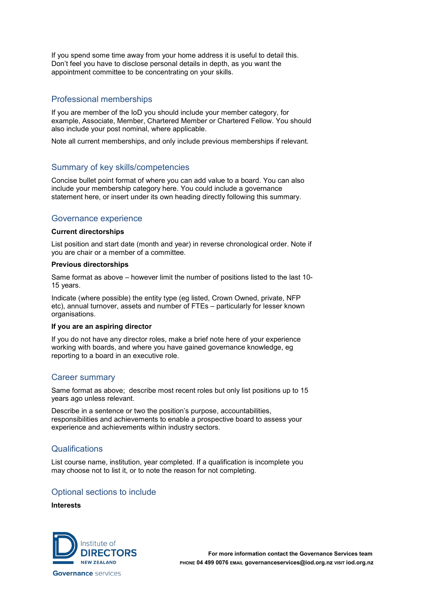If you spend some time away from your home address it is useful to detail this. Don't feel you have to disclose personal details in depth, as you want the appointment committee to be concentrating on your skills.

#### Professional memberships

If you are member of the IoD you should include your member category, for example, Associate, Member, Chartered Member or Chartered Fellow. You should also include your post nominal, where applicable.

Note all current memberships, and only include previous memberships if relevant.

#### Summary of key skills/competencies

Concise bullet point format of where you can add value to a board. You can also include your membership category here. You could include a governance statement here, or insert under its own heading directly following this summary.

#### Governance experience

#### **Current directorships**

List position and start date (month and year) in reverse chronological order. Note if you are chair or a member of a committee.

#### **Previous directorships**

Same format as above – however limit the number of positions listed to the last 10- 15 years.

Indicate (where possible) the entity type (eg listed, Crown Owned, private, NFP etc), annual turnover, assets and number of FTEs – particularly for lesser known organisations.

#### **If you are an aspiring director**

If you do not have any director roles, make a brief note here of your experience working with boards, and where you have gained governance knowledge, eg reporting to a board in an executive role.

#### Career summary

Same format as above; describe most recent roles but only list positions up to 15 years ago unless relevant.

Describe in a sentence or two the position's purpose, accountabilities, responsibilities and achievements to enable a prospective board to assess your experience and achievements within industry sectors.

#### **Qualifications**

List course name, institution, year completed. If a qualification is incomplete you may choose not to list it, or to note the reason for not completing.

#### Optional sections to include

#### **Interests**

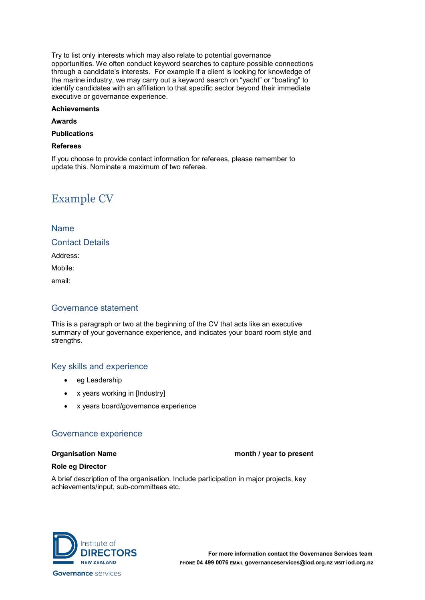Try to list only interests which may also relate to potential governance opportunities. We often conduct keyword searches to capture possible connections through a candidate's interests. For example if a client is looking for knowledge of the marine industry, we may carry out a keyword search on "yacht" or "boating" to identify candidates with an affiliation to that specific sector beyond their immediate executive or governance experience.

#### **Achievements**

#### **Awards**

#### **Publications**

#### **Referees**

If you choose to provide contact information for referees, please remember to update this. Nominate a maximum of two referee.

## Example CV

#### Name

Contact Details

Address:

Mobile:

email:

#### Governance statement

This is a paragraph or two at the beginning of the CV that acts like an executive summary of your governance experience, and indicates your board room style and strengths.

#### Key skills and experience

- eg Leadership
- x years working in [Industry]
- x years board/governance experience

#### Governance experience

#### **Organisation Name month / year to present**

#### **Role eg Director**

A brief description of the organisation. Include participation in major projects, key achievements/input, sub-committees etc.